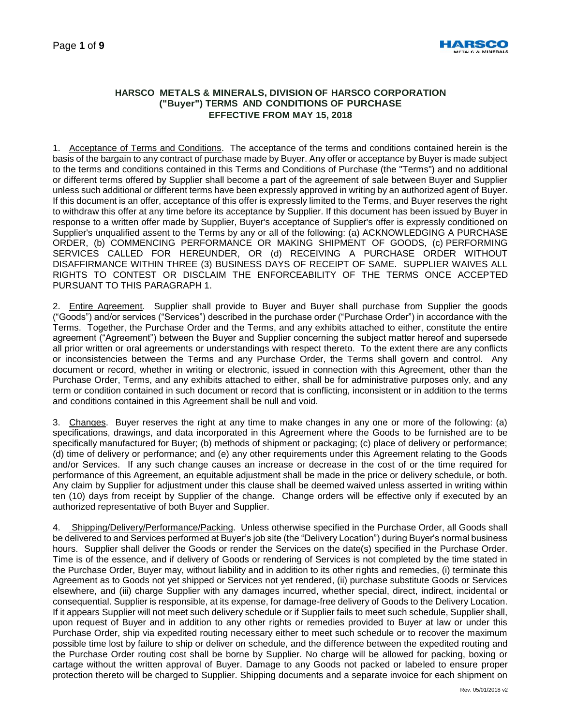

# **HARSCO METALS & MINERALS, DIVISION OF HARSCO CORPORATION ("Buyer") TERMS AND CONDITIONS OF PURCHASE EFFECTIVE FROM MAY 15, 2018**

1. Acceptance of Terms and Conditions. The acceptance of the terms and conditions contained herein is the basis of the bargain to any contract of purchase made by Buyer. Any offer or acceptance by Buyer is made subject to the terms and conditions contained in this Terms and Conditions of Purchase (the "Terms") and no additional or different terms offered by Supplier shall become a part of the agreement of sale between Buyer and Supplier unless such additional or different terms have been expressly approved in writing by an authorized agent of Buyer. If this document is an offer, acceptance of this offer is expressly limited to the Terms, and Buyer reserves the right to withdraw this offer at any time before its acceptance by Supplier. If this document has been issued by Buyer in response to a written offer made by Supplier, Buyer's acceptance of Supplier's offer is expressly conditioned on Supplier's unqualified assent to the Terms by any or all of the following: (a) ACKNOWLEDGING A PURCHASE ORDER, (b) COMMENCING PERFORMANCE OR MAKING SHIPMENT OF GOODS, (c) PERFORMING SERVICES CALLED FOR HEREUNDER, OR (d) RECEIVING A PURCHASE ORDER WITHOUT DISAFFIRMANCE WITHIN THREE (3) BUSINESS DAYS OF RECEIPT OF SAME. SUPPLIER WAIVES ALL RIGHTS TO CONTEST OR DISCLAIM THE ENFORCEABILITY OF THE TERMS ONCE ACCEPTED PURSUANT TO THIS PARAGRAPH 1.

2. Entire Agreement. Supplier shall provide to Buyer and Buyer shall purchase from Supplier the goods ("Goods") and/or services ("Services") described in the purchase order ("Purchase Order") in accordance with the Terms. Together, the Purchase Order and the Terms, and any exhibits attached to either, constitute the entire agreement ("Agreement") between the Buyer and Supplier concerning the subject matter hereof and supersede all prior written or oral agreements or understandings with respect thereto. To the extent there are any conflicts or inconsistencies between the Terms and any Purchase Order, the Terms shall govern and control. Any document or record, whether in writing or electronic, issued in connection with this Agreement, other than the Purchase Order, Terms, and any exhibits attached to either, shall be for administrative purposes only, and any term or condition contained in such document or record that is conflicting, inconsistent or in addition to the terms and conditions contained in this Agreement shall be null and void.

3. Changes. Buyer reserves the right at any time to make changes in any one or more of the following: (a) specifications, drawings, and data incorporated in this Agreement where the Goods to be furnished are to be specifically manufactured for Buyer; (b) methods of shipment or packaging; (c) place of delivery or performance; (d) time of delivery or performance; and (e) any other requirements under this Agreement relating to the Goods and/or Services. If any such change causes an increase or decrease in the cost of or the time required for performance of this Agreement, an equitable adjustment shall be made in the price or delivery schedule, or both. Any claim by Supplier for adjustment under this clause shall be deemed waived unless asserted in writing within ten (10) days from receipt by Supplier of the change. Change orders will be effective only if executed by an authorized representative of both Buyer and Supplier.

4. Shipping/Delivery/Performance/Packing. Unless otherwise specified in the Purchase Order, all Goods shall be delivered to and Services performed at Buyer's job site (the "Delivery Location") during Buyer's normal business hours. Supplier shall deliver the Goods or render the Services on the date(s) specified in the Purchase Order. Time is of the essence, and if delivery of Goods or rendering of Services is not completed by the time stated in the Purchase Order, Buyer may, without liability and in addition to its other rights and remedies, (i) terminate this Agreement as to Goods not yet shipped or Services not yet rendered, (ii) purchase substitute Goods or Services elsewhere, and (iii) charge Supplier with any damages incurred, whether special, direct, indirect, incidental or consequential. Supplier is responsible, at its expense, for damage-free delivery of Goods to the Delivery Location. If it appears Supplier will not meet such delivery schedule or if Supplier fails to meet such schedule, Supplier shall, upon request of Buyer and in addition to any other rights or remedies provided to Buyer at law or under this Purchase Order, ship via expedited routing necessary either to meet such schedule or to recover the maximum possible time lost by failure to ship or deliver on schedule, and the difference between the expedited routing and the Purchase Order routing cost shall be borne by Supplier. No charge will be allowed for packing, boxing or cartage without the written approval of Buyer. Damage to any Goods not packed or labeled to ensure proper protection thereto will be charged to Supplier. Shipping documents and a separate invoice for each shipment on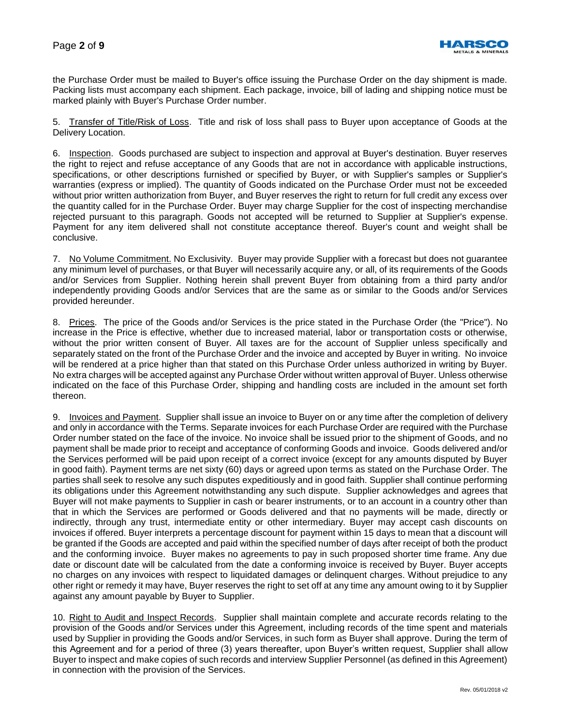

the Purchase Order must be mailed to Buyer's office issuing the Purchase Order on the day shipment is made. Packing lists must accompany each shipment. Each package, invoice, bill of lading and shipping notice must be marked plainly with Buyer's Purchase Order number.

5. Transfer of Title/Risk of Loss. Title and risk of loss shall pass to Buyer upon acceptance of Goods at the Delivery Location.

6. Inspection. Goods purchased are subject to inspection and approval at Buyer's destination. Buyer reserves the right to reject and refuse acceptance of any Goods that are not in accordance with applicable instructions, specifications, or other descriptions furnished or specified by Buyer, or with Supplier's samples or Supplier's warranties (express or implied). The quantity of Goods indicated on the Purchase Order must not be exceeded without prior written authorization from Buyer, and Buyer reserves the right to return for full credit any excess over the quantity called for in the Purchase Order. Buyer may charge Supplier for the cost of inspecting merchandise rejected pursuant to this paragraph. Goods not accepted will be returned to Supplier at Supplier's expense. Payment for any item delivered shall not constitute acceptance thereof. Buyer's count and weight shall be conclusive.

7. No Volume Commitment. No Exclusivity. Buyer may provide Supplier with a forecast but does not guarantee any minimum level of purchases, or that Buyer will necessarily acquire any, or all, of its requirements of the Goods and/or Services from Supplier. Nothing herein shall prevent Buyer from obtaining from a third party and/or independently providing Goods and/or Services that are the same as or similar to the Goods and/or Services provided hereunder.

8. Prices. The price of the Goods and/or Services is the price stated in the Purchase Order (the "Price"). No increase in the Price is effective, whether due to increased material, labor or transportation costs or otherwise, without the prior written consent of Buyer. All taxes are for the account of Supplier unless specifically and separately stated on the front of the Purchase Order and the invoice and accepted by Buyer in writing. No invoice will be rendered at a price higher than that stated on this Purchase Order unless authorized in writing by Buyer. No extra charges will be accepted against any Purchase Order without written approval of Buyer. Unless otherwise indicated on the face of this Purchase Order, shipping and handling costs are included in the amount set forth thereon.

9. Invoices and Payment. Supplier shall issue an invoice to Buyer on or any time after the completion of delivery and only in accordance with the Terms. Separate invoices for each Purchase Order are required with the Purchase Order number stated on the face of the invoice. No invoice shall be issued prior to the shipment of Goods, and no payment shall be made prior to receipt and acceptance of conforming Goods and invoice. Goods delivered and/or the Services performed will be paid upon receipt of a correct invoice (except for any amounts disputed by Buyer in good faith). Payment terms are net sixty (60) days or agreed upon terms as stated on the Purchase Order. The parties shall seek to resolve any such disputes expeditiously and in good faith. Supplier shall continue performing its obligations under this Agreement notwithstanding any such dispute. Supplier acknowledges and agrees that Buyer will not make payments to Supplier in cash or bearer instruments, or to an account in a country other than that in which the Services are performed or Goods delivered and that no payments will be made, directly or indirectly, through any trust, intermediate entity or other intermediary. Buyer may accept cash discounts on invoices if offered. Buyer interprets a percentage discount for payment within 15 days to mean that a discount will be granted if the Goods are accepted and paid within the specified number of days after receipt of both the product and the conforming invoice. Buyer makes no agreements to pay in such proposed shorter time frame. Any due date or discount date will be calculated from the date a conforming invoice is received by Buyer. Buyer accepts no charges on any invoices with respect to liquidated damages or delinquent charges. Without prejudice to any other right or remedy it may have, Buyer reserves the right to set off at any time any amount owing to it by Supplier against any amount payable by Buyer to Supplier.

10. Right to Audit and Inspect Records. Supplier shall maintain complete and accurate records relating to the provision of the Goods and/or Services under this Agreement, including records of the time spent and materials used by Supplier in providing the Goods and/or Services, in such form as Buyer shall approve. During the term of this Agreement and for a period of three (3) years thereafter, upon Buyer's written request, Supplier shall allow Buyer to inspect and make copies of such records and interview Supplier Personnel (as defined in this Agreement) in connection with the provision of the Services.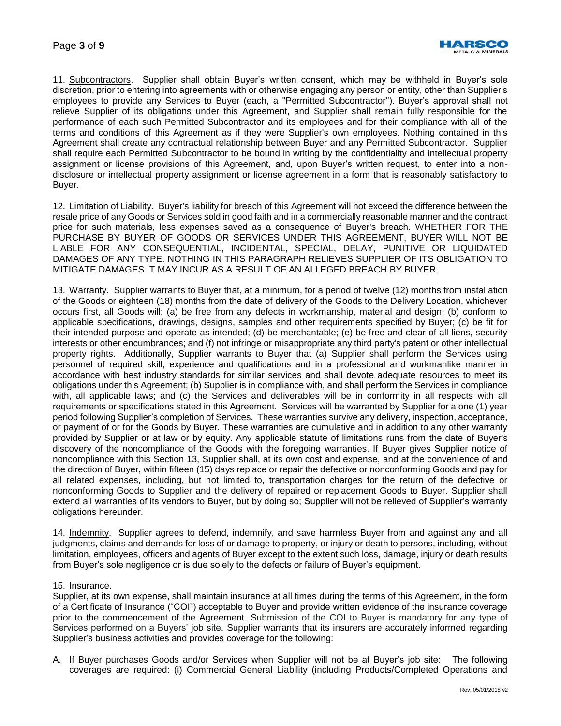

11. Subcontractors. Supplier shall obtain Buyer's written consent, which may be withheld in Buyer's sole discretion, prior to entering into agreements with or otherwise engaging any person or entity, other than Supplier's employees to provide any Services to Buyer (each, a "Permitted Subcontractor"). Buyer's approval shall not relieve Supplier of its obligations under this Agreement, and Supplier shall remain fully responsible for the performance of each such Permitted Subcontractor and its employees and for their compliance with all of the terms and conditions of this Agreement as if they were Supplier's own employees. Nothing contained in this Agreement shall create any contractual relationship between Buyer and any Permitted Subcontractor. Supplier shall require each Permitted Subcontractor to be bound in writing by the confidentiality and intellectual property assignment or license provisions of this Agreement, and, upon Buyer's written request, to enter into a nondisclosure or intellectual property assignment or license agreement in a form that is reasonably satisfactory to Buyer.

12. Limitation of Liability. Buyer's liability for breach of this Agreement will not exceed the difference between the resale price of any Goods or Services sold in good faith and in a commercially reasonable manner and the contract price for such materials, less expenses saved as a consequence of Buyer's breach. WHETHER FOR THE PURCHASE BY BUYER OF GOODS OR SERVICES UNDER THIS AGREEMENT, BUYER WILL NOT BE LIABLE FOR ANY CONSEQUENTIAL, INCIDENTAL, SPECIAL, DELAY, PUNITIVE OR LIQUIDATED DAMAGES OF ANY TYPE. NOTHING IN THIS PARAGRAPH RELIEVES SUPPLIER OF ITS OBLIGATION TO MITIGATE DAMAGES IT MAY INCUR AS A RESULT OF AN ALLEGED BREACH BY BUYER.

13. Warranty. Supplier warrants to Buyer that, at a minimum, for a period of twelve (12) months from installation of the Goods or eighteen (18) months from the date of delivery of the Goods to the Delivery Location, whichever occurs first, all Goods will: (a) be free from any defects in workmanship, material and design; (b) conform to applicable specifications, drawings, designs, samples and other requirements specified by Buyer; (c) be fit for their intended purpose and operate as intended; (d) be merchantable; (e) be free and clear of all liens, security interests or other encumbrances; and (f) not infringe or misappropriate any third party's patent or other intellectual property rights. Additionally, Supplier warrants to Buyer that (a) Supplier shall perform the Services using personnel of required skill, experience and qualifications and in a professional and workmanlike manner in accordance with best industry standards for similar services and shall devote adequate resources to meet its obligations under this Agreement; (b) Supplier is in compliance with, and shall perform the Services in compliance with, all applicable laws; and (c) the Services and deliverables will be in conformity in all respects with all requirements or specifications stated in this Agreement. Services will be warranted by Supplier for a one (1) year period following Supplier's completion of Services. These warranties survive any delivery, inspection, acceptance, or payment of or for the Goods by Buyer. These warranties are cumulative and in addition to any other warranty provided by Supplier or at law or by equity. Any applicable statute of limitations runs from the date of Buyer's discovery of the noncompliance of the Goods with the foregoing warranties. If Buyer gives Supplier notice of noncompliance with this Section 13, Supplier shall, at its own cost and expense, and at the convenience of and the direction of Buyer, within fifteen (15) days replace or repair the defective or nonconforming Goods and pay for all related expenses, including, but not limited to, transportation charges for the return of the defective or nonconforming Goods to Supplier and the delivery of repaired or replacement Goods to Buyer. Supplier shall extend all warranties of its vendors to Buyer, but by doing so; Supplier will not be relieved of Supplier's warranty obligations hereunder.

14. Indemnity. Supplier agrees to defend, indemnify, and save harmless Buyer from and against any and all judgments, claims and demands for loss of or damage to property, or injury or death to persons, including, without limitation, employees, officers and agents of Buyer except to the extent such loss, damage, injury or death results from Buyer's sole negligence or is due solely to the defects or failure of Buyer's equipment.

#### 15. Insurance.

Supplier, at its own expense, shall maintain insurance at all times during the terms of this Agreement, in the form of a Certificate of Insurance ("COI") acceptable to Buyer and provide written evidence of the insurance coverage prior to the commencement of the Agreement. Submission of the COI to Buyer is mandatory for any type of Services performed on a Buyers' job site. Supplier warrants that its insurers are accurately informed regarding Supplier's business activities and provides coverage for the following:

A. If Buyer purchases Goods and/or Services when Supplier will not be at Buyer's job site: The following coverages are required: (i) Commercial General Liability (including Products/Completed Operations and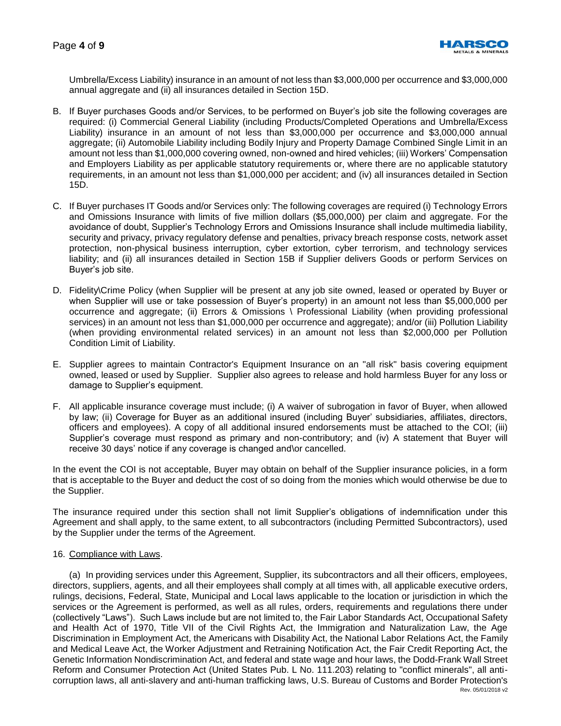

Umbrella/Excess Liability) insurance in an amount of not less than \$3,000,000 per occurrence and \$3,000,000 annual aggregate and (ii) all insurances detailed in Section 15D.

- B. If Buyer purchases Goods and/or Services, to be performed on Buyer's job site the following coverages are required: (i) Commercial General Liability (including Products/Completed Operations and Umbrella/Excess Liability) insurance in an amount of not less than \$3,000,000 per occurrence and \$3,000,000 annual aggregate; (ii) Automobile Liability including Bodily Injury and Property Damage Combined Single Limit in an amount not less than \$1,000,000 covering owned, non-owned and hired vehicles; (iii) Workers' Compensation and Employers Liability as per applicable statutory requirements or, where there are no applicable statutory requirements, in an amount not less than \$1,000,000 per accident; and (iv) all insurances detailed in Section 15D.
- C. If Buyer purchases IT Goods and/or Services only: The following coverages are required (i) Technology Errors and Omissions Insurance with limits of five million dollars (\$5,000,000) per claim and aggregate. For the avoidance of doubt, Supplier's Technology Errors and Omissions Insurance shall include multimedia liability, security and privacy, privacy regulatory defense and penalties, privacy breach response costs, network asset protection, non-physical business interruption, cyber extortion, cyber terrorism, and technology services liability; and (ii) all insurances detailed in Section 15B if Supplier delivers Goods or perform Services on Buyer's job site.
- D. Fidelity\Crime Policy (when Supplier will be present at any job site owned, leased or operated by Buyer or when Supplier will use or take possession of Buyer's property) in an amount not less than \$5,000,000 per occurrence and aggregate; (ii) Errors & Omissions \ Professional Liability (when providing professional services) in an amount not less than \$1,000,000 per occurrence and aggregate); and/or (iii) Pollution Liability (when providing environmental related services) in an amount not less than \$2,000,000 per Pollution Condition Limit of Liability.
- E. Supplier agrees to maintain Contractor's Equipment Insurance on an "all risk" basis covering equipment owned, leased or used by Supplier. Supplier also agrees to release and hold harmless Buyer for any loss or damage to Supplier's equipment.
- F. All applicable insurance coverage must include; (i) A waiver of subrogation in favor of Buyer, when allowed by law; (ii) Coverage for Buyer as an additional insured (including Buyer' subsidiaries, affiliates, directors, officers and employees). A copy of all additional insured endorsements must be attached to the COI; (iii) Supplier's coverage must respond as primary and non-contributory; and (iv) A statement that Buyer will receive 30 days' notice if any coverage is changed and\or cancelled.

In the event the COI is not acceptable, Buyer may obtain on behalf of the Supplier insurance policies, in a form that is acceptable to the Buyer and deduct the cost of so doing from the monies which would otherwise be due to the Supplier.

The insurance required under this section shall not limit Supplier's obligations of indemnification under this Agreement and shall apply, to the same extent, to all subcontractors (including Permitted Subcontractors), used by the Supplier under the terms of the Agreement.

# 16. Compliance with Laws.

Rev. 05/01/2018 v2 (a) In providing services under this Agreement, Supplier, its subcontractors and all their officers, employees, directors, suppliers, agents, and all their employees shall comply at all times with, all applicable executive orders, rulings, decisions, Federal, State, Municipal and Local laws applicable to the location or jurisdiction in which the services or the Agreement is performed, as well as all rules, orders, requirements and regulations there under (collectively "Laws"). Such Laws include but are not limited to, the Fair Labor Standards Act, Occupational Safety and Health Act of 1970, Title VII of the Civil Rights Act, the Immigration and Naturalization Law, the Age Discrimination in Employment Act, the Americans with Disability Act, the National Labor Relations Act, the Family and Medical Leave Act, the Worker Adjustment and Retraining Notification Act, the Fair Credit Reporting Act, the Genetic Information Nondiscrimination Act, and federal and state wage and hour laws, the Dodd-Frank Wall Street Reform and Consumer Protection Act (United States Pub. L No. 111.203) relating to "conflict minerals", all anticorruption laws, all anti-slavery and anti-human trafficking laws, U.S. Bureau of Customs and Border Protection's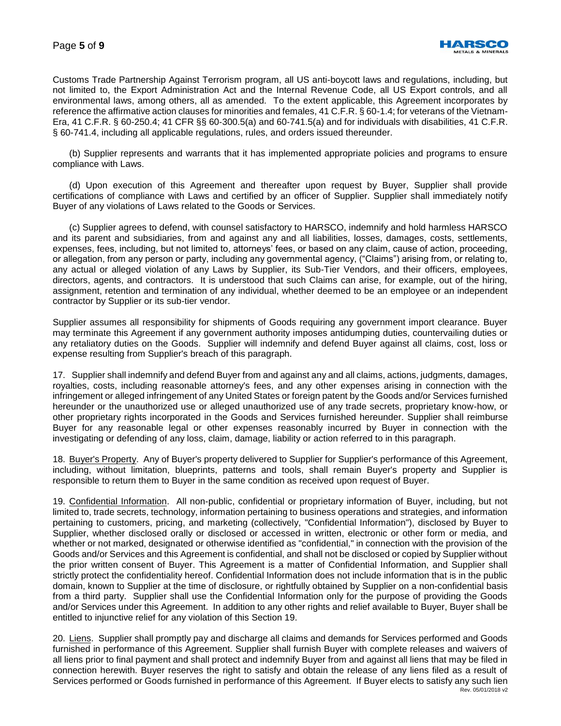

Customs Trade Partnership Against Terrorism program, all US anti-boycott laws and regulations, including, but not limited to, the Export Administration Act and the Internal Revenue Code, all US Export controls, and all environmental laws, among others, all as amended. To the extent applicable, this Agreement incorporates by reference the affirmative action clauses for minorities and females, 41 C.F.R. § 60-1.4; for veterans of the Vietnam-Era, 41 C.F.R. § 60-250.4; 41 CFR §§ 60‐300.5(a) and 60‐741.5(a) and for individuals with disabilities, 41 C.F.R. § 60-741.4, including all applicable regulations, rules, and orders issued thereunder.

(b) Supplier represents and warrants that it has implemented appropriate policies and programs to ensure compliance with Laws.

(d) Upon execution of this Agreement and thereafter upon request by Buyer, Supplier shall provide certifications of compliance with Laws and certified by an officer of Supplier. Supplier shall immediately notify Buyer of any violations of Laws related to the Goods or Services.

(c) Supplier agrees to defend, with counsel satisfactory to HARSCO, indemnify and hold harmless HARSCO and its parent and subsidiaries, from and against any and all liabilities, losses, damages, costs, settlements, expenses, fees, including, but not limited to, attorneys' fees, or based on any claim, cause of action, proceeding, or allegation, from any person or party, including any governmental agency, ("Claims") arising from, or relating to, any actual or alleged violation of any Laws by Supplier, its Sub-Tier Vendors, and their officers, employees, directors, agents, and contractors. It is understood that such Claims can arise, for example, out of the hiring, assignment, retention and termination of any individual, whether deemed to be an employee or an independent contractor by Supplier or its sub-tier vendor.

Supplier assumes all responsibility for shipments of Goods requiring any government import clearance. Buyer may terminate this Agreement if any government authority imposes antidumping duties, countervailing duties or any retaliatory duties on the Goods. Supplier will indemnify and defend Buyer against all claims, cost, loss or expense resulting from Supplier's breach of this paragraph.

17. Supplier shall indemnify and defend Buyer from and against any and all claims, actions, judgments, damages, royalties, costs, including reasonable attorney's fees, and any other expenses arising in connection with the infringement or alleged infringement of any United States or foreign patent by the Goods and/or Services furnished hereunder or the unauthorized use or alleged unauthorized use of any trade secrets, proprietary know-how, or other proprietary rights incorporated in the Goods and Services furnished hereunder. Supplier shall reimburse Buyer for any reasonable legal or other expenses reasonably incurred by Buyer in connection with the investigating or defending of any loss, claim, damage, liability or action referred to in this paragraph.

18. Buyer's Property. Any of Buyer's property delivered to Supplier for Supplier's performance of this Agreement, including, without limitation, blueprints, patterns and tools, shall remain Buyer's property and Supplier is responsible to return them to Buyer in the same condition as received upon request of Buyer.

19. Confidential Information. All non-public, confidential or proprietary information of Buyer, including, but not limited to, trade secrets, technology, information pertaining to business operations and strategies, and information pertaining to customers, pricing, and marketing (collectively, "Confidential Information"), disclosed by Buyer to Supplier, whether disclosed orally or disclosed or accessed in written, electronic or other form or media, and whether or not marked, designated or otherwise identified as "confidential," in connection with the provision of the Goods and/or Services and this Agreement is confidential, and shall not be disclosed or copied by Supplier without the prior written consent of Buyer. This Agreement is a matter of Confidential Information, and Supplier shall strictly protect the confidentiality hereof. Confidential Information does not include information that is in the public domain, known to Supplier at the time of disclosure, or rightfully obtained by Supplier on a non-confidential basis from a third party. Supplier shall use the Confidential Information only for the purpose of providing the Goods and/or Services under this Agreement. In addition to any other rights and relief available to Buyer, Buyer shall be entitled to injunctive relief for any violation of this Section 19.

Rev. 05/01/2018 v2 20. Liens. Supplier shall promptly pay and discharge all claims and demands for Services performed and Goods furnished in performance of this Agreement. Supplier shall furnish Buyer with complete releases and waivers of all liens prior to final payment and shall protect and indemnify Buyer from and against all liens that may be filed in connection herewith. Buyer reserves the right to satisfy and obtain the release of any liens filed as a result of Services performed or Goods furnished in performance of this Agreement. If Buyer elects to satisfy any such lien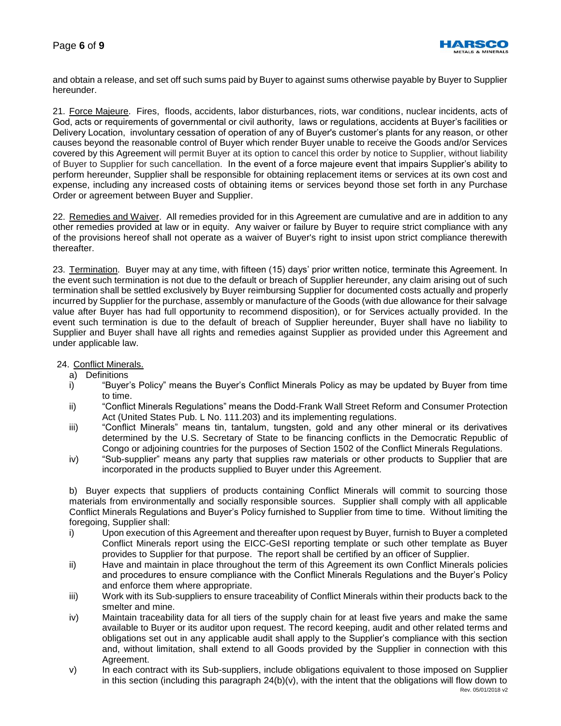

and obtain a release, and set off such sums paid by Buyer to against sums otherwise payable by Buyer to Supplier hereunder.

21. Force Majeure. Fires, floods, accidents, labor disturbances, riots, war conditions, nuclear incidents, acts of God, acts or requirements of governmental or civil authority, laws or regulations, accidents at Buyer's facilities or Delivery Location, involuntary cessation of operation of any of Buyer's customer's plants for any reason, or other causes beyond the reasonable control of Buyer which render Buyer unable to receive the Goods and/or Services covered by this Agreement will permit Buyer at its option to cancel this order by notice to Supplier, without liability of Buyer to Supplier for such cancellation. In the event of a force majeure event that impairs Supplier's ability to perform hereunder, Supplier shall be responsible for obtaining replacement items or services at its own cost and expense, including any increased costs of obtaining items or services beyond those set forth in any Purchase Order or agreement between Buyer and Supplier.

22. Remedies and Waiver. All remedies provided for in this Agreement are cumulative and are in addition to any other remedies provided at law or in equity. Any waiver or failure by Buyer to require strict compliance with any of the provisions hereof shall not operate as a waiver of Buyer's right to insist upon strict compliance therewith thereafter.

23. Termination. Buyer may at any time, with fifteen (15) days' prior written notice, terminate this Agreement. In the event such termination is not due to the default or breach of Supplier hereunder, any claim arising out of such termination shall be settled exclusively by Buyer reimbursing Supplier for documented costs actually and properly incurred by Supplier for the purchase, assembly or manufacture of the Goods (with due allowance for their salvage value after Buyer has had full opportunity to recommend disposition), or for Services actually provided. In the event such termination is due to the default of breach of Supplier hereunder, Buyer shall have no liability to Supplier and Buyer shall have all rights and remedies against Supplier as provided under this Agreement and under applicable law.

### 24. Conflict Minerals.

- a) Definitions
- i) "Buyer's Policy" means the Buyer's Conflict Minerals Policy as may be updated by Buyer from time to time.
- ii) "Conflict Minerals Regulations" means the Dodd-Frank Wall Street Reform and Consumer Protection Act (United States Pub. L No. 111.203) and its implementing regulations.
- iii) "Conflict Minerals" means tin, tantalum, tungsten, gold and any other mineral or its derivatives determined by the U.S. Secretary of State to be financing conflicts in the Democratic Republic of Congo or adjoining countries for the purposes of Section 1502 of the Conflict Minerals Regulations.
- iv) "Sub-supplier" means any party that supplies raw materials or other products to Supplier that are incorporated in the products supplied to Buyer under this Agreement.

b) Buyer expects that suppliers of products containing Conflict Minerals will commit to sourcing those materials from environmentally and socially responsible sources. Supplier shall comply with all applicable Conflict Minerals Regulations and Buyer's Policy furnished to Supplier from time to time. Without limiting the foregoing, Supplier shall:

- i) Upon execution of this Agreement and thereafter upon request by Buyer, furnish to Buyer a completed Conflict Minerals report using the EICC-GeSI reporting template or such other template as Buyer provides to Supplier for that purpose. The report shall be certified by an officer of Supplier.
- ii) Have and maintain in place throughout the term of this Agreement its own Conflict Minerals policies and procedures to ensure compliance with the Conflict Minerals Regulations and the Buyer's Policy and enforce them where appropriate.
- iii) Work with its Sub-suppliers to ensure traceability of Conflict Minerals within their products back to the smelter and mine.
- iv) Maintain traceability data for all tiers of the supply chain for at least five years and make the same available to Buyer or its auditor upon request. The record keeping, audit and other related terms and obligations set out in any applicable audit shall apply to the Supplier's compliance with this section and, without limitation, shall extend to all Goods provided by the Supplier in connection with this Agreement.
- v) In each contract with its Sub-suppliers, include obligations equivalent to those imposed on Supplier in this section (including this paragraph  $24(b)(v)$ , with the intent that the obligations will flow down to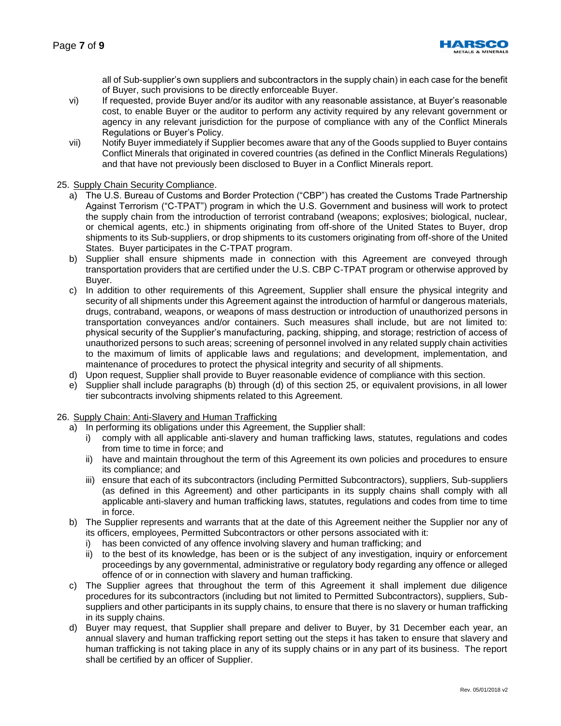

all of Sub-supplier's own suppliers and subcontractors in the supply chain) in each case for the benefit of Buyer, such provisions to be directly enforceable Buyer.

- vi) If requested, provide Buyer and/or its auditor with any reasonable assistance, at Buyer's reasonable cost, to enable Buyer or the auditor to perform any activity required by any relevant government or agency in any relevant jurisdiction for the purpose of compliance with any of the Conflict Minerals Regulations or Buyer's Policy.
- vii) Notify Buyer immediately if Supplier becomes aware that any of the Goods supplied to Buyer contains Conflict Minerals that originated in covered countries (as defined in the Conflict Minerals Regulations) and that have not previously been disclosed to Buyer in a Conflict Minerals report.

### 25. Supply Chain Security Compliance.

- a) The U.S. Bureau of Customs and Border Protection ("CBP") has created the Customs Trade Partnership Against Terrorism ("C-TPAT") program in which the U.S. Government and business will work to protect the supply chain from the introduction of terrorist contraband (weapons; explosives; biological, nuclear, or chemical agents, etc.) in shipments originating from off-shore of the United States to Buyer, drop shipments to its Sub-suppliers, or drop shipments to its customers originating from off-shore of the United States. Buyer participates in the C-TPAT program.
- b) Supplier shall ensure shipments made in connection with this Agreement are conveyed through transportation providers that are certified under the U.S. CBP C-TPAT program or otherwise approved by Buyer.
- c) In addition to other requirements of this Agreement, Supplier shall ensure the physical integrity and security of all shipments under this Agreement against the introduction of harmful or dangerous materials, drugs, contraband, weapons, or weapons of mass destruction or introduction of unauthorized persons in transportation conveyances and/or containers. Such measures shall include, but are not limited to: physical security of the Supplier's manufacturing, packing, shipping, and storage; restriction of access of unauthorized persons to such areas; screening of personnel involved in any related supply chain activities to the maximum of limits of applicable laws and regulations; and development, implementation, and maintenance of procedures to protect the physical integrity and security of all shipments.
- d) Upon request, Supplier shall provide to Buyer reasonable evidence of compliance with this section.
- e) Supplier shall include paragraphs (b) through (d) of this section 25, or equivalent provisions, in all lower tier subcontracts involving shipments related to this Agreement.

# 26. Supply Chain: Anti-Slavery and Human Trafficking

- a) In performing its obligations under this Agreement, the Supplier shall:
	- i) comply with all applicable anti-slavery and human trafficking laws, statutes, regulations and codes from time to time in force; and
	- ii) have and maintain throughout the term of this Agreement its own policies and procedures to ensure its compliance; and
	- iii) ensure that each of its subcontractors (including Permitted Subcontractors), suppliers, Sub-suppliers (as defined in this Agreement) and other participants in its supply chains shall comply with all applicable anti-slavery and human trafficking laws, statutes, regulations and codes from time to time in force.
- b) The Supplier represents and warrants that at the date of this Agreement neither the Supplier nor any of its officers, employees, Permitted Subcontractors or other persons associated with it:
	- i) has been convicted of any offence involving slavery and human trafficking; and
	- ii) to the best of its knowledge, has been or is the subject of any investigation, inquiry or enforcement proceedings by any governmental, administrative or regulatory body regarding any offence or alleged offence of or in connection with slavery and human trafficking.
- c) The Supplier agrees that throughout the term of this Agreement it shall implement due diligence procedures for its subcontractors (including but not limited to Permitted Subcontractors), suppliers, Subsuppliers and other participants in its supply chains, to ensure that there is no slavery or human trafficking in its supply chains.
- d) Buyer may request, that Supplier shall prepare and deliver to Buyer, by 31 December each year, an annual slavery and human trafficking report setting out the steps it has taken to ensure that slavery and human trafficking is not taking place in any of its supply chains or in any part of its business. The report shall be certified by an officer of Supplier.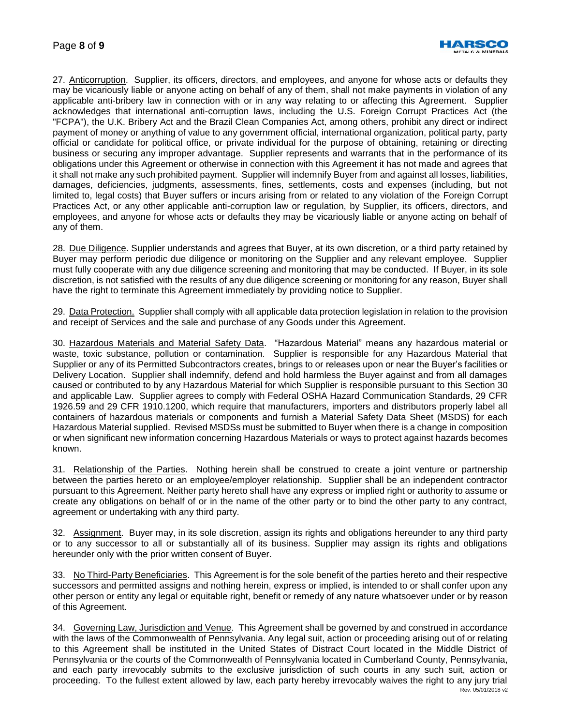

27. Anticorruption. Supplier, its officers, directors, and employees, and anyone for whose acts or defaults they may be vicariously liable or anyone acting on behalf of any of them, shall not make payments in violation of any applicable anti-bribery law in connection with or in any way relating to or affecting this Agreement. Supplier acknowledges that international anti-corruption laws, including the U.S. Foreign Corrupt Practices Act (the "FCPA"), the U.K. Bribery Act and the Brazil Clean Companies Act, among others, prohibit any direct or indirect payment of money or anything of value to any government official, international organization, political party, party official or candidate for political office, or private individual for the purpose of obtaining, retaining or directing business or securing any improper advantage. Supplier represents and warrants that in the performance of its obligations under this Agreement or otherwise in connection with this Agreement it has not made and agrees that it shall not make any such prohibited payment. Supplier will indemnify Buyer from and against all losses, liabilities, damages, deficiencies, judgments, assessments, fines, settlements, costs and expenses (including, but not limited to, legal costs) that Buyer suffers or incurs arising from or related to any violation of the Foreign Corrupt Practices Act, or any other applicable anti-corruption law or regulation, by Supplier, its officers, directors, and employees, and anyone for whose acts or defaults they may be vicariously liable or anyone acting on behalf of any of them.

28. Due Diligence. Supplier understands and agrees that Buyer, at its own discretion, or a third party retained by Buyer may perform periodic due diligence or monitoring on the Supplier and any relevant employee. Supplier must fully cooperate with any due diligence screening and monitoring that may be conducted. If Buyer, in its sole discretion, is not satisfied with the results of any due diligence screening or monitoring for any reason, Buyer shall have the right to terminate this Agreement immediately by providing notice to Supplier.

29. Data Protection. Supplier shall comply with all applicable data protection legislation in relation to the provision and receipt of Services and the sale and purchase of any Goods under this Agreement.

30. Hazardous Materials and Material Safety Data. "Hazardous Material" means any hazardous material or waste, toxic substance, pollution or contamination. Supplier is responsible for any Hazardous Material that Supplier or any of its Permitted Subcontractors creates, brings to or releases upon or near the Buyer's facilities or Delivery Location. Supplier shall indemnify, defend and hold harmless the Buyer against and from all damages caused or contributed to by any Hazardous Material for which Supplier is responsible pursuant to this Section 30 and applicable Law. Supplier agrees to comply with Federal OSHA Hazard Communication Standards, 29 CFR 1926.59 and 29 CFR 1910.1200, which require that manufacturers, importers and distributors properly label all containers of hazardous materials or components and furnish a Material Safety Data Sheet (MSDS) for each Hazardous Material supplied. Revised MSDSs must be submitted to Buyer when there is a change in composition or when significant new information concerning Hazardous Materials or ways to protect against hazards becomes known.

31. Relationship of the Parties. Nothing herein shall be construed to create a joint venture or partnership between the parties hereto or an employee/employer relationship. Supplier shall be an independent contractor pursuant to this Agreement. Neither party hereto shall have any express or implied right or authority to assume or create any obligations on behalf of or in the name of the other party or to bind the other party to any contract, agreement or undertaking with any third party.

32. Assignment. Buyer may, in its sole discretion, assign its rights and obligations hereunder to any third party or to any successor to all or substantially all of its business. Supplier may assign its rights and obligations hereunder only with the prior written consent of Buyer.

33. No Third-Party Beneficiaries. This Agreement is for the sole benefit of the parties hereto and their respective successors and permitted assigns and nothing herein, express or implied, is intended to or shall confer upon any other person or entity any legal or equitable right, benefit or remedy of any nature whatsoever under or by reason of this Agreement.

Rev. 05/01/2018 v2 34. Governing Law, Jurisdiction and Venue. This Agreement shall be governed by and construed in accordance with the laws of the Commonwealth of Pennsylvania. Any legal suit, action or proceeding arising out of or relating to this Agreement shall be instituted in the United States of Distract Court located in the Middle District of Pennsylvania or the courts of the Commonwealth of Pennsylvania located in Cumberland County, Pennsylvania, and each party irrevocably submits to the exclusive jurisdiction of such courts in any such suit, action or proceeding. To the fullest extent allowed by law, each party hereby irrevocably waives the right to any jury trial